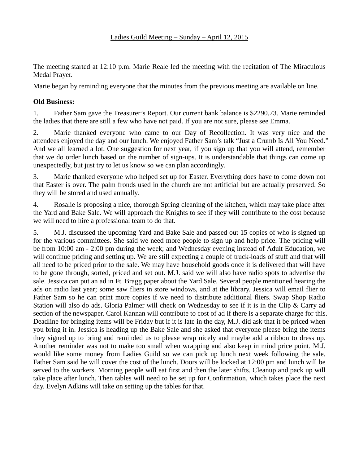The meeting started at 12:10 p.m. Marie Reale led the meeting with the recitation of The Miraculous Medal Prayer.

Marie began by reminding everyone that the minutes from the previous meeting are available on line.

## **Old Business:**

1. Father Sam gave the Treasurer's Report. Our current bank balance is \$2290.73. Marie reminded the ladies that there are still a few who have not paid. If you are not sure, please see Emma.

2. Marie thanked everyone who came to our Day of Recollection. It was very nice and the attendees enjoyed the day and our lunch. We enjoyed Father Sam's talk "Just a Crumb Is All You Need." And we all learned a lot. One suggestion for next year, if you sign up that you will attend, remember that we do order lunch based on the number of sign-ups. It is understandable that things can come up unexpectedly, but just try to let us know so we can plan accordingly.

3. Marie thanked everyone who helped set up for Easter. Everything does have to come down not that Easter is over. The palm fronds used in the church are not artificial but are actually preserved. So they will be stored and used annually.

4. Rosalie is proposing a nice, thorough Spring cleaning of the kitchen, which may take place after the Yard and Bake Sale. We will approach the Knights to see if they will contribute to the cost because we will need to hire a professional team to do that.

5. M.J. discussed the upcoming Yard and Bake Sale and passed out 15 copies of who is signed up for the various committees. She said we need more people to sign up and help price. The pricing will be from 10:00 am - 2:00 pm during the week; and Wednesday evening instead of Adult Education, we will continue pricing and setting up. We are still expecting a couple of truck-loads of stuff and that will all need to be priced prior to the sale. We may have household goods once it is delivered that will have to be gone through, sorted, priced and set out. M.J. said we will also have radio spots to advertise the sale. Jessica can put an ad in Ft. Bragg paper about the Yard Sale. Several people mentioned hearing the ads on radio last year; some saw fliers in store windows, and at the library. Jessica will email flier to Father Sam so he can print more copies if we need to distribute additional fliers. Swap Shop Radio Station will also do ads. Gloria Palmer will check on Wednesday to see if it is in the Clip & Carry ad section of the newspaper. Carol Kannan will contribute to cost of ad if there is a separate charge for this. Deadline for bringing items will be Friday but if it is late in the day, M.J. did ask that it be priced when you bring it in. Jessica is heading up the Bake Sale and she asked that everyone please bring the items they signed up to bring and reminded us to please wrap nicely and maybe add a ribbon to dress up. Another reminder was not to make too small when wrapping and also keep in mind price point. M.J. would like some money from Ladies Guild so we can pick up lunch next week following the sale. Father Sam said he will cover the cost of the lunch. Doors will be locked at 12:00 pm and lunch will be served to the workers. Morning people will eat first and then the later shifts. Cleanup and pack up will take place after lunch. Then tables will need to be set up for Confirmation, which takes place the next day. Evelyn Adkins will take on setting up the tables for that.